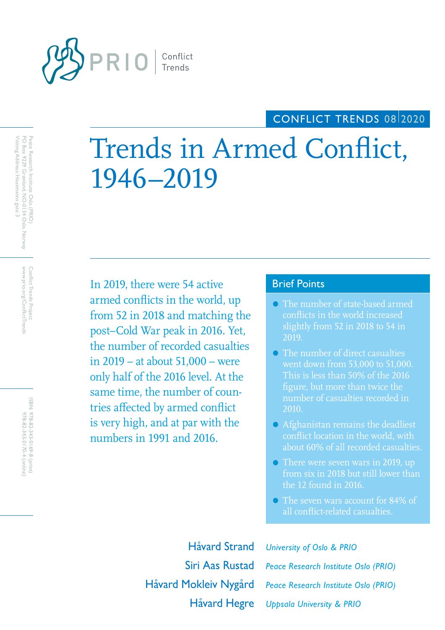

# CONFLICT TRENDS 08/2020

# Trends in Armed Conflict, 1946–2019

In 2019, there were 54 active **Brief Points** armed conflicts in the world, up from 52 in 2018 and matching the post–Cold War peak in 2016. Yet, the number of recorded casualties in 2019 – at about 51,000 – were only half of the 2016 level. At the same time, the number of countries affected by armed conflict is very high, and at par with the numbers in 1991 and 2016.

- The number of state-based armed conflicts in the world increased slightly from 52 in 2018 to 54 in 2019.
- The number of direct casualties went down from 53,000 to 51,000. This is less than 50% of the 2016 figure, but more than twice the number of casualties recorded in 2010.
- Afghanistan remains the deadliest conflict location in the world, with about 60% of all recorded casualties.
- There were seven wars in 2019, up from six in 2018 but still lower than the 12 found in 2016.
- The seven wars account for 84% of all conflict-related casualties.

Håvard Strand *University of Oslo & PRIO*

Siri Aas Rustad *Peace Research Institute Oslo (PRIO)* Håvard Hegre *Uppsala University & PRIO* Håvard Mokleiv Nygård *Peace Research Institute Oslo (PRIO)*

Peace Research Institute Oslo (PRIO)<br>PO Box 9229 Grønland, NO-0134 Oslo, Norway<br>. Visiting Address: Hausmanns gate 3 Visiting Address: Hausmanns gate 3 PO Box 9229 Grønland, NO-0134 Oslo, Norway Peace Research Institute Oslo (PRIO)

> www.prio.org/ConflictTrends Conflict Trends Project www.prio.org/ConflictTrends Conflict Trends Project

ISBN: 978-82-343-0169-8 (print) 978-82-343-0170-4 (online 978-82-343-0170-4 (online) 978-82-343-0169-8 (print)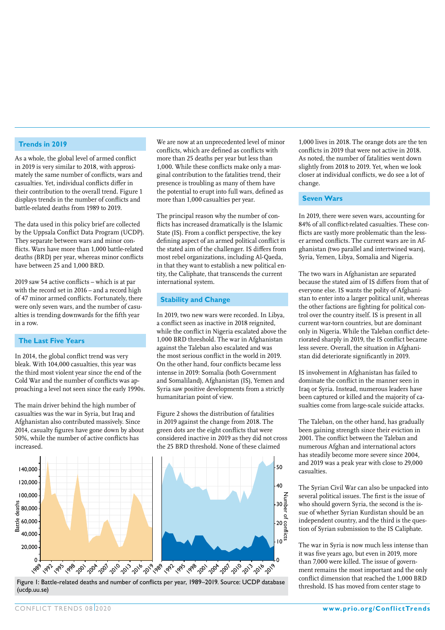#### **Trends in 2019**

As a whole, the global level of armed conflict in 2019 is very similar to 2018, with approximately the same number of conflicts, wars and casualties. Yet, individual conflicts differ in their contribution to the overall trend. Figure 1 displays trends in the number of conflicts and battle-related deaths from 1989 to 2019.

The data used in this policy brief are collected by the Uppsala Conflict Data Program (UCDP). They separate between wars and minor conflicts. Wars have more than 1,000 battle-related deaths (BRD) per year, whereas minor conflicts have between 25 and 1,000 BRD.

2019 saw 54 active conflicts – which is at par with the record set in 2016 – and a record high of 47 minor armed conflicts. Fortunately, there were only seven wars, and the number of casualties is trending downwards for the fifth year in a row.

### **The Last Five Years**

In 2014, the global conflict trend was very bleak. With 104,000 casualties, this year was the third most violent year since the end of the Cold War and the number of conflicts was approaching a level not seen since the early 1990s.

The main driver behind the high number of casualties was the war in Syria, but Iraq and Afghanistan also contributed massively. Since 2014, casualty figures have gone down by about 50%, while the number of active conflicts has increased.

We are now at an unprecedented level of minor conflicts, which are defined as conflicts with more than 25 deaths per year but less than 1,000. While these conflicts make only a marginal contribution to the fatalities trend, their presence is troubling as many of them have the potential to erupt into full wars, defined as more than 1,000 casualties per year.

The principal reason why the number of conflicts has increased dramatically is the Islamic State (IS). From a conflict perspective, the key defining aspect of an armed political conflict is the stated aim of the challenger. IS differs from most rebel organizations, including Al-Qaeda, in that they want to establish a new political entity, the Caliphate, that transcends the current international system.

#### **Stability and Change**

In 2019, two new wars were recorded. In Libya, a conflict seen as inactive in 2018 reignited, while the conflict in Nigeria escalated above the 1,000 BRD threshold. The war in Afghanistan against the Taleban also escalated and was the most serious conflict in the world in 2019. On the other hand, four conflicts became less intense in 2019: Somalia (both Government and Somaliland), Afghanistan (IS), Yemen and Syria saw positive developments from a strictly humanitarian point of view.

Figure 2 shows the distribution of fatalities in 2019 against the change from 2018. The green dots are the eight conflicts that were considered inactive in 2019 as they did not cross the 25 BRD threshold. None of these claimed



Figure 1: Battle-related deaths and number of conflicts per year, 1989–2019. Source: UCDP database (ucdp.uu.se)

1,000 lives in 2018. The orange dots are the ten conflicts in 2019 that were not active in 2018. As noted, the number of fatalities went down slightly from 2018 to 2019. Yet, when we look closer at individual conflicts, we do see a lot of change.

#### **Seven Wars**

In 2019, there were seven wars, accounting for 84% of all conflict-related casualties. These conflicts are vastly more problematic than the lesser armed conflicts. The current wars are in Afghanistan (two parallel and intertwined wars), Syria, Yemen, Libya, Somalia and Nigeria.

The two wars in Afghanistan are separated because the stated aim of IS differs from that of everyone else. IS wants the polity of Afghanistan to enter into a larger political unit, whereas the other factions are fighting for political control over the country itself. IS is present in all current war-torn countries, but are dominant only in Nigeria. While the Taleban conflict deteriorated sharply in 2019, the IS conflict became less severe. Overall, the situation in Afghanistan did deteriorate significantly in 2019.

IS involvement in Afghanistan has failed to dominate the conflict in the manner seen in Iraq or Syria. Instead, numerous leaders have been captured or killed and the majority of casualties come from large-scale suicide attacks.

The Taleban, on the other hand, has gradually been gaining strength since their eviction in 2001. The conflict between the Taleban and numerous Afghan and international actors has steadily become more severe since 2004, and 2019 was a peak year with close to 29,000 casualties.

The Syrian Civil War can also be unpacked into several political issues. The first is the issue of who should govern Syria, the second is the issue of whether Syrian Kurdistan should be an independent country, and the third is the question of Syrian submission to the IS Caliphate.

The war in Syria is now much less intense than it was five years ago, but even in 2019, more than 7,000 were killed. The issue of government remains the most important and the only conflict dimension that reached the 1,000 BRD threshold. IS has moved from center stage to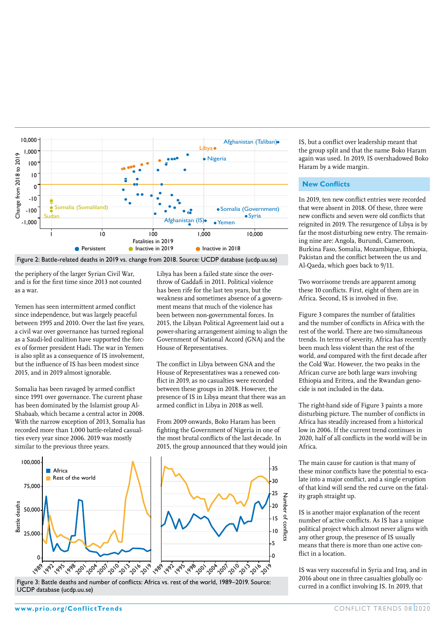

Figure 2: Battle-related deaths in 2019 vs. change from 2018. Source: UCDP database (ucdp.uu.se)

the periphery of the larger Syrian Civil War, and is for the first time since 2013 not counted as a war.

Yemen has seen intermittent armed conflict since independence, but was largely peaceful between 1995 and 2010. Over the last five years, a civil war over governance has turned regional as a Saudi-led coalition have supported the forces of former president Hadi. The war in Yemen is also split as a consequence of IS involvement, but the influence of IS has been modest since 2015, and in 2019 almost ignorable.

Somalia has been ravaged by armed conflict since 1991 over governance. The current phase has been dominated by the Islamist group Al-Shabaab, which became a central actor in 2008. With the narrow exception of 2013, Somalia has recorded more than 1,000 battle-related casualties every year since 2006. 2019 was mostly similar to the previous three years.

Libya has been a failed state since the overthrow of Gaddafi in 2011. Political violence has been rife for the last ten years, but the weakness and sometimes absence of a government means that much of the violence has been between non-governmental forces. In 2015, the Libyan Political Agreement laid out a power-sharing arrangement aiming to align the Government of National Accord (GNA) and the House of Representatives.

The conflict in Libya between GNA and the House of Representatives was a renewed conflict in 2019, as no casualties were recorded between these groups in 2018. However, the presence of IS in Libya meant that there was an armed conflict in Libya in 2018 as well.

From 2009 onwards, Boko Haram has been fighting the Government of Nigeria in one of the most brutal conflicts of the last decade. In 2015, the group announced that they would join



Figure 3: Battle deaths and number of conflicts: Africa vs. rest of the world, 1989–2019. Source: UCDP database (ucdp.uu.se)

IS, but a conflict over leadership meant that the group split and that the name Boko Haram again was used. In 2019, IS overshadowed Boko Haram by a wide margin.

#### **New Conflicts**

In 2019, ten new conflict entries were recorded that were absent in 2018. Of these, three were new conflicts and seven were old conflicts that reignited in 2019. The resurgence of Libya is by far the most disturbing new entry. The remaining nine are: Angola, Burundi, Cameroon, Burkina Faso, Somalia, Mozambique, Ethiopia, Pakistan and the conflict between the us and Al-Qaeda, which goes back to 9/11.

Two worrisome trends are apparent among these 10 conflicts. First, eight of them are in Africa. Second, IS is involved in five.

Figure 3 compares the number of fatalities and the number of conflicts in Africa with the rest of the world. There are two simultaneous trends. In terms of severity, Africa has recently been much less violent than the rest of the world, *and* compared with the first decade after the Cold War. However, the two peaks in the African curve are both large wars involving Ethiopia and Eritrea, and the Rwandan genocide is not included in the data.

The right-hand side of Figure 3 paints a more disturbing picture. The number of conflicts in Africa has steadily increased from a historical low in 2006. If the current trend continues in 2020, half of all conflicts in the world will be in Africa.

The main cause for caution is that many of these minor conflicts have the potential to escalate into a major conflict, and a single eruption of that kind will send the red curve on the fatality graph straight up.

IS is another major explanation of the recent number of active conflicts. As IS has a unique political project which almost never aligns with any other group, the presence of IS usually means that there is more than one active conflict in a location

IS was very successful in Syria and Iraq, and in 2016 about one in three casualties globally occurred in a conflict involving IS. In 2019, that